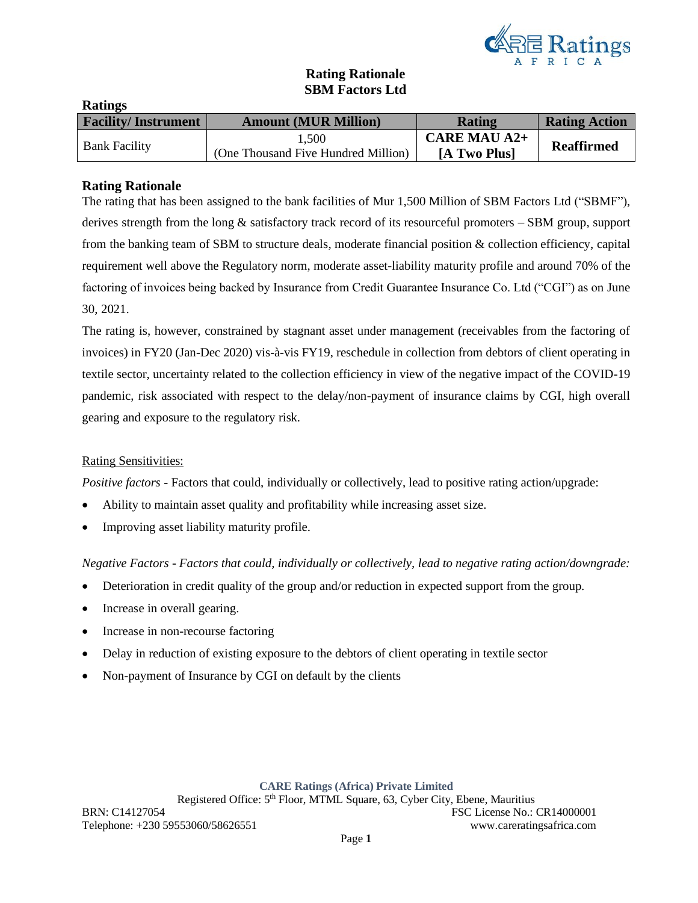

## **Rating Rationale SBM Factors Ltd**

| 11111110                   |                                     |                     |                      |
|----------------------------|-------------------------------------|---------------------|----------------------|
| <b>Facility/Instrument</b> | <b>Amount (MUR Million)</b>         | <b>Rating</b>       | <b>Rating Action</b> |
| <b>Bank Facility</b>       | 1.500                               | <b>CARE MAU A2+</b> | <b>Reaffirmed</b>    |
|                            | (One Thousand Five Hundred Million) | [A Two Plus]        |                      |

## **Rating Rationale**

**Ratings**

The rating that has been assigned to the bank facilities of Mur 1,500 Million of SBM Factors Ltd ("SBMF"), derives strength from the long & satisfactory track record of its resourceful promoters – SBM group, support from the banking team of SBM to structure deals, moderate financial position & collection efficiency, capital requirement well above the Regulatory norm, moderate asset-liability maturity profile and around 70% of the factoring of invoices being backed by Insurance from Credit Guarantee Insurance Co. Ltd ("CGI") as on June 30, 2021.

The rating is, however, constrained by stagnant asset under management (receivables from the factoring of invoices) in FY20 (Jan-Dec 2020) vis-à-vis FY19, reschedule in collection from debtors of client operating in textile sector, uncertainty related to the collection efficiency in view of the negative impact of the COVID-19 pandemic, risk associated with respect to the delay/non-payment of insurance claims by CGI, high overall gearing and exposure to the regulatory risk.

### Rating Sensitivities:

*Positive factors* - Factors that could, individually or collectively, lead to positive rating action/upgrade:

- Ability to maintain asset quality and profitability while increasing asset size.
- Improving asset liability maturity profile.

*Negative Factors - Factors that could, individually or collectively, lead to negative rating action/downgrade:*

- Deterioration in credit quality of the group and/or reduction in expected support from the group.
- Increase in overall gearing.
- Increase in non-recourse factoring
- Delay in reduction of existing exposure to the debtors of client operating in textile sector
- Non-payment of Insurance by CGI on default by the clients

### **CARE Ratings (Africa) Private Limited**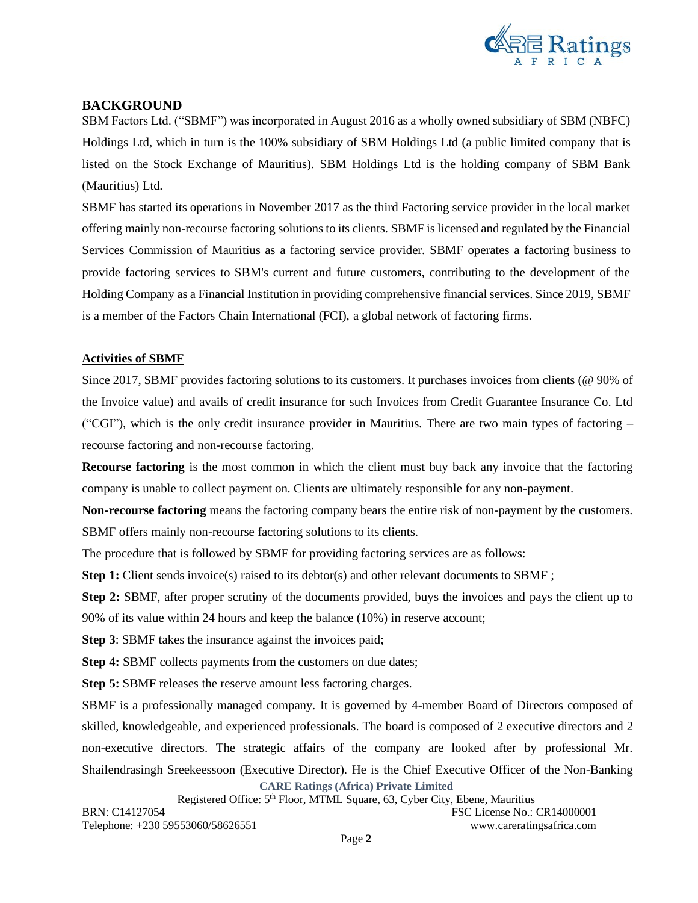

## **BACKGROUND**

SBM Factors Ltd. ("SBMF") was incorporated in August 2016 as a wholly owned subsidiary of SBM (NBFC) Holdings Ltd, which in turn is the 100% subsidiary of SBM Holdings Ltd (a public limited company that is listed on the Stock Exchange of Mauritius). SBM Holdings Ltd is the holding company of SBM Bank (Mauritius) Ltd.

SBMF has started its operations in November 2017 as the third Factoring service provider in the local market offering mainly non-recourse factoring solutions to its clients. SBMF is licensed and regulated by the Financial Services Commission of Mauritius as a factoring service provider. SBMF operates a factoring business to provide factoring services to SBM's current and future customers, contributing to the development of the Holding Company as a Financial Institution in providing comprehensive financial services. Since 2019, SBMF is a member of the Factors Chain International (FCI), a global network of factoring firms.

## **Activities of SBMF**

Since 2017, SBMF provides factoring solutions to its customers. It purchases invoices from clients (@ 90% of the Invoice value) and avails of credit insurance for such Invoices from Credit Guarantee Insurance Co. Ltd ("CGI"), which is the only credit insurance provider in Mauritius. There are two main types of factoring  $$ recourse factoring and non-recourse factoring.

**Recourse factoring** is the most common in which the client must buy back any invoice that the factoring company is unable to collect payment on. Clients are ultimately responsible for any non-payment.

**Non-recourse factoring** means the factoring company bears the entire risk of non-payment by the customers. SBMF offers mainly non-recourse factoring solutions to its clients.

The procedure that is followed by SBMF for providing factoring services are as follows:

**Step 1:** Client sends invoice(s) raised to its debtor(s) and other relevant documents to SBMF;

**Step 2:** SBMF, after proper scrutiny of the documents provided, buys the invoices and pays the client up to 90% of its value within 24 hours and keep the balance (10%) in reserve account;

**Step 3**: SBMF takes the insurance against the invoices paid;

**Step 4:** SBMF collects payments from the customers on due dates;

**Step 5:** SBMF releases the reserve amount less factoring charges.

**CARE Ratings (Africa) Private Limited** SBMF is a professionally managed company. It is governed by 4-member Board of Directors composed of skilled, knowledgeable, and experienced professionals. The board is composed of 2 executive directors and 2 non-executive directors. The strategic affairs of the company are looked after by professional Mr. Shailendrasingh Sreekeessoon (Executive Director). He is the Chief Executive Officer of the Non-Banking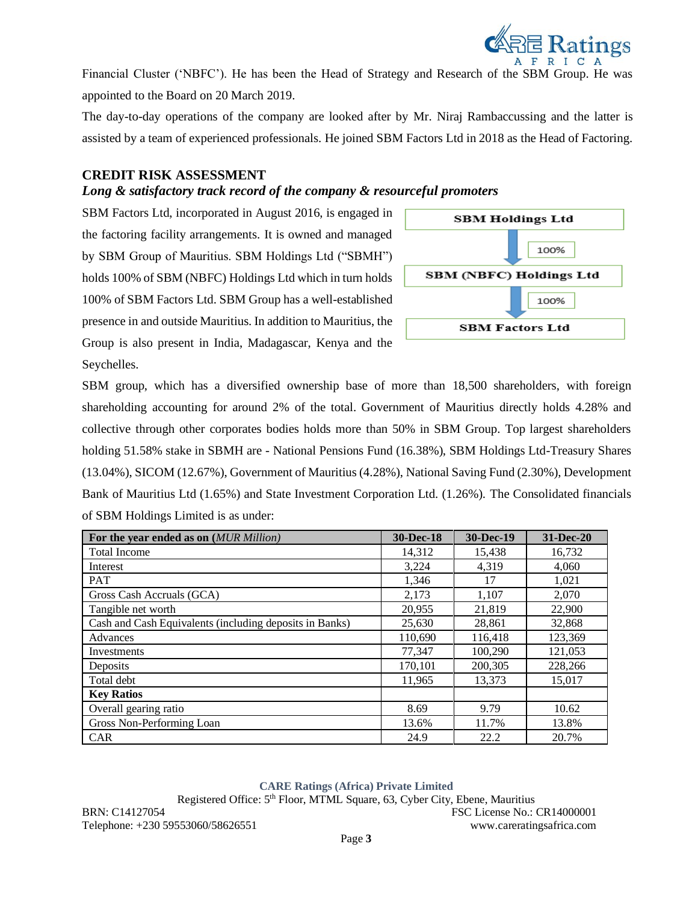

Financial Cluster ('NBFC'). He has been the Head of Strategy and Research of the SBM Group. He was appointed to the Board on 20 March 2019.

The day-to-day operations of the company are looked after by Mr. Niraj Rambaccussing and the latter is assisted by a team of experienced professionals. He joined SBM Factors Ltd in 2018 as the Head of Factoring.

## **CREDIT RISK ASSESSMENT**

## *Long & satisfactory track record of the company & resourceful promoters*

SBM Factors Ltd, incorporated in August 2016, is engaged in the factoring facility arrangements. It is owned and managed by SBM Group of Mauritius. SBM Holdings Ltd ("SBMH") holds 100% of SBM (NBFC) Holdings Ltd which in turn holds 100% of SBM Factors Ltd. SBM Group has a well-established presence in and outside Mauritius. In addition to Mauritius, the Group is also present in India, Madagascar, Kenya and the Seychelles.



SBM group, which has a diversified ownership base of more than 18,500 shareholders, with foreign shareholding accounting for around 2% of the total. Government of Mauritius directly holds 4.28% and collective through other corporates bodies holds more than 50% in SBM Group. Top largest shareholders holding 51.58% stake in SBMH are - National Pensions Fund (16.38%), SBM Holdings Ltd-Treasury Shares (13.04%), SICOM (12.67%), Government of Mauritius (4.28%), National Saving Fund (2.30%), Development Bank of Mauritius Ltd (1.65%) and State Investment Corporation Ltd. (1.26%). The Consolidated financials of SBM Holdings Limited is as under:

| For the year ended as on (MUR Million)                  | 30-Dec-18 | 30-Dec-19 | 31-Dec-20 |
|---------------------------------------------------------|-----------|-----------|-----------|
| <b>Total Income</b>                                     | 14,312    | 15,438    | 16,732    |
| Interest                                                | 3,224     | 4,319     | 4,060     |
| PAT                                                     | 1,346     | 17        | 1,021     |
| Gross Cash Accruals (GCA)                               | 2,173     | 1,107     | 2,070     |
| Tangible net worth                                      | 20,955    | 21.819    | 22,900    |
| Cash and Cash Equivalents (including deposits in Banks) | 25,630    | 28,861    | 32,868    |
| Advances                                                | 110,690   | 116,418   | 123,369   |
| Investments                                             | 77,347    | 100,290   | 121,053   |
| Deposits                                                | 170,101   | 200,305   | 228,266   |
| Total debt                                              | 11,965    | 13,373    | 15,017    |
| <b>Key Ratios</b>                                       |           |           |           |
| Overall gearing ratio                                   | 8.69      | 9.79      | 10.62     |
| Gross Non-Performing Loan                               | 13.6%     | 11.7%     | 13.8%     |
| <b>CAR</b>                                              | 24.9      | 22.2      | 20.7%     |

#### **CARE Ratings (Africa) Private Limited**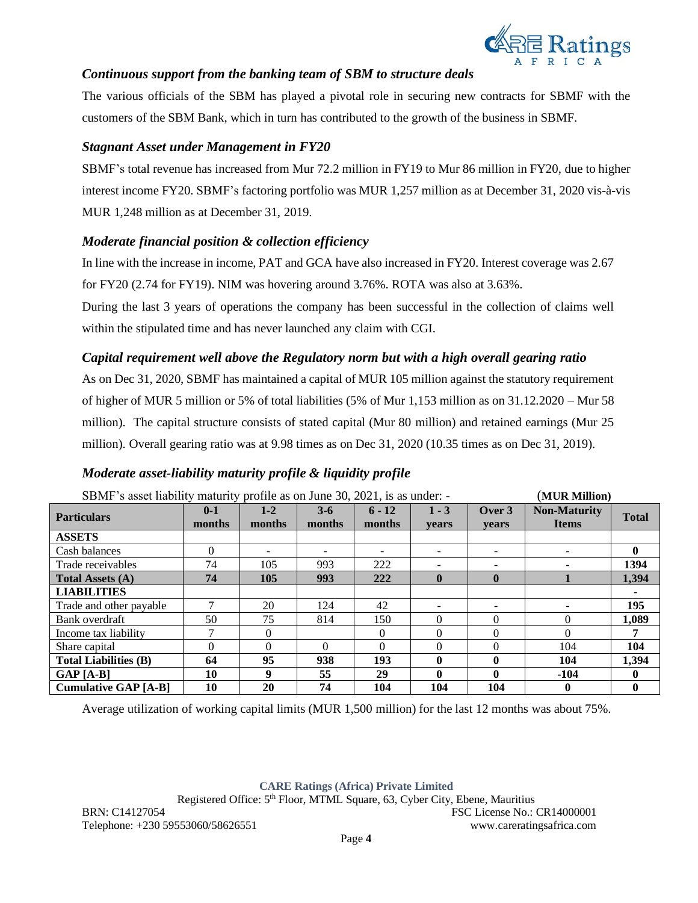

## *Continuous support from the banking team of SBM to structure deals*

The various officials of the SBM has played a pivotal role in securing new contracts for SBMF with the customers of the SBM Bank, which in turn has contributed to the growth of the business in SBMF.

## *Stagnant Asset under Management in FY20*

SBMF's total revenue has increased from Mur 72.2 million in FY19 to Mur 86 million in FY20, due to higher interest income FY20. SBMF's factoring portfolio was MUR 1,257 million as at December 31, 2020 vis-à-vis MUR 1,248 million as at December 31, 2019.

## *Moderate financial position & collection efficiency*

In line with the increase in income, PAT and GCA have also increased in FY20. Interest coverage was 2.67 for FY20 (2.74 for FY19). NIM was hovering around 3.76%. ROTA was also at 3.63%.

During the last 3 years of operations the company has been successful in the collection of claims well within the stipulated time and has never launched any claim with CGI.

## *Capital requirement well above the Regulatory norm but with a high overall gearing ratio*

As on Dec 31, 2020, SBMF has maintained a capital of MUR 105 million against the statutory requirement of higher of MUR 5 million or 5% of total liabilities (5% of Mur 1,153 million as on 31.12.2020 – Mur 58 million). The capital structure consists of stated capital (Mur 80 million) and retained earnings (Mur 25 million). Overall gearing ratio was at 9.98 times as on Dec 31, 2020 (10.35 times as on Dec 31, 2019).

## *Moderate asset-liability maturity profile & liquidity profile*

| SBMF's asset liability maturity profile as on June 30, 2021, is as under: - |                   |                          |                 |                              |                  | (MUR Million)            |                                     |              |
|-----------------------------------------------------------------------------|-------------------|--------------------------|-----------------|------------------------------|------------------|--------------------------|-------------------------------------|--------------|
| <b>Particulars</b>                                                          | $0 - 1$<br>months | $1 - 2$<br>months        | $3-6$<br>months | $6 - 12$<br>months           | $1 - 3$<br>vears | Over 3<br><b>vears</b>   | <b>Non-Maturity</b><br><b>Items</b> | <b>Total</b> |
| <b>ASSETS</b>                                                               |                   |                          |                 |                              |                  |                          |                                     |              |
| Cash balances                                                               | 0                 | $\overline{\phantom{0}}$ |                 | $\qquad \qquad \blacksquare$ |                  | $\overline{\phantom{0}}$ |                                     | $\mathbf{0}$ |
| Trade receivables                                                           | 74                | 105                      | 993             | 222                          |                  |                          |                                     | 1394         |
| <b>Total Assets (A)</b>                                                     | 74                | 105                      | 993             | 222                          | $\mathbf{0}$     | $\mathbf{0}$             |                                     | 1,394        |
| <b>LIABILITIES</b>                                                          |                   |                          |                 |                              |                  |                          |                                     |              |
| Trade and other payable                                                     | 7                 | 20                       | 124             | 42                           |                  | $\overline{\phantom{0}}$ |                                     | 195          |
| Bank overdraft                                                              | 50                | 75                       | 814             | 150                          | 0                | $\Omega$                 |                                     | 1,089        |
| Income tax liability                                                        | 7                 | $\Omega$                 |                 | $\Omega$                     | 0                | $\Omega$                 |                                     | 7            |
| Share capital                                                               | 0                 | $\Omega$                 | 0               | $\Omega$                     | 0                | $\Omega$                 | 104                                 | 104          |
| <b>Total Liabilities (B)</b>                                                | 64                | 95                       | 938             | 193                          | 0                | 0                        | 104                                 | 1,394        |
| $GAP[A-B]$                                                                  | 10                | 9                        | 55              | 29                           | 0                | 0                        | $-104$                              | $\mathbf{0}$ |
| <b>Cumulative GAP [A-B]</b>                                                 | 10                | 20                       | 74              | 104                          | 104              | 104                      | 0                                   | $\mathbf{0}$ |

Average utilization of working capital limits (MUR 1,500 million) for the last 12 months was about 75%.

**CARE Ratings (Africa) Private Limited**

Registered Office: 5th Floor, MTML Square, 63, Cyber City, Ebene, Mauritius BRN: C14127054 FSC License No.: CR14000001

Telephone: +230 59553060/58626551 www.careratingsafrica.com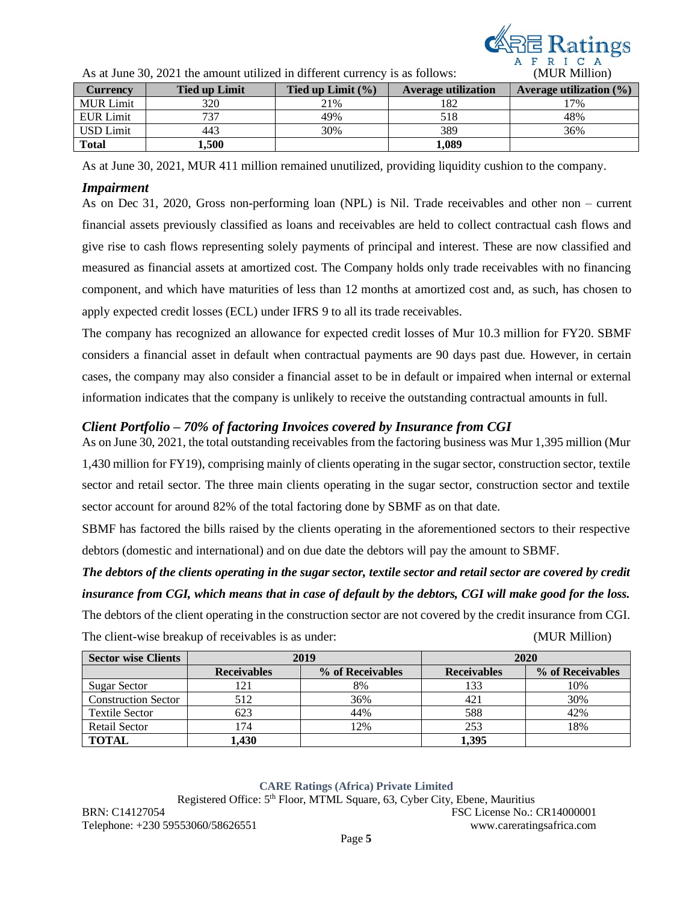

| $\overline{1}$ is at range $\overline{20}$ , $\overline{20}$ if the amount utilized in university early is as follows. | (1)                  |                      |                            |                            |
|------------------------------------------------------------------------------------------------------------------------|----------------------|----------------------|----------------------------|----------------------------|
| <b>Currency</b>                                                                                                        | <b>Tied up Limit</b> | Tied up Limit $(\%)$ | <b>Average utilization</b> | Average utilization $(\%)$ |
| <b>MUR Limit</b>                                                                                                       | 320                  | 21%                  | 182                        | 17%                        |
| <b>EUR Limit</b>                                                                                                       | 737                  | 49%                  | 518                        | 48%                        |
| <b>USD</b> Limit                                                                                                       | 443                  | 30%                  | 389                        | 36%                        |
| <b>Total</b>                                                                                                           | ,500                 |                      | 1.089                      |                            |

As at June 30, 2021 the amount utilized in different currency is as follows: (MUR Million)

As at June 30, 2021, MUR 411 million remained unutilized, providing liquidity cushion to the company.

#### *Impairment*

As on Dec 31, 2020, Gross non-performing loan (NPL) is Nil. Trade receivables and other non – current financial assets previously classified as loans and receivables are held to collect contractual cash flows and give rise to cash flows representing solely payments of principal and interest. These are now classified and measured as financial assets at amortized cost. The Company holds only trade receivables with no financing component, and which have maturities of less than 12 months at amortized cost and, as such, has chosen to apply expected credit losses (ECL) under IFRS 9 to all its trade receivables.

The company has recognized an allowance for expected credit losses of Mur 10.3 million for FY20. SBMF considers a financial asset in default when contractual payments are 90 days past due. However, in certain cases, the company may also consider a financial asset to be in default or impaired when internal or external information indicates that the company is unlikely to receive the outstanding contractual amounts in full.

## *Client Portfolio – 70% of factoring Invoices covered by Insurance from CGI*

As on June 30, 2021, the total outstanding receivables from the factoring business was Mur 1,395 million (Mur 1,430 million for FY19), comprising mainly of clients operating in the sugar sector, construction sector, textile sector and retail sector. The three main clients operating in the sugar sector, construction sector and textile sector account for around 82% of the total factoring done by SBMF as on that date.

SBMF has factored the bills raised by the clients operating in the aforementioned sectors to their respective debtors (domestic and international) and on due date the debtors will pay the amount to SBMF.

# *The debtors of the clients operating in the sugar sector, textile sector and retail sector are covered by credit insurance from CGI, which means that in case of default by the debtors, CGI will make good for the loss.*

The debtors of the client operating in the construction sector are not covered by the credit insurance from CGI.

| <b>Sector wise Clients</b> |                    | 2019             |                    | 2020             |
|----------------------------|--------------------|------------------|--------------------|------------------|
|                            | <b>Receivables</b> | % of Receivables | <b>Receivables</b> | % of Receivables |
| <b>Sugar Sector</b>        | .21                | 8%               | 133                | 10%              |
| <b>Construction Sector</b> | 512                | 36%              | 421                | 30%              |
| <b>Textile Sector</b>      | 623                | 44%              | 588                | 42%              |
| Retail Sector              | .74                | 12%              | 253                | 18%              |
| <b>TOTAL</b>               | .430               |                  | 1,395              |                  |

The client-wise breakup of receivables is as under: (MUR Million)

#### **CARE Ratings (Africa) Private Limited**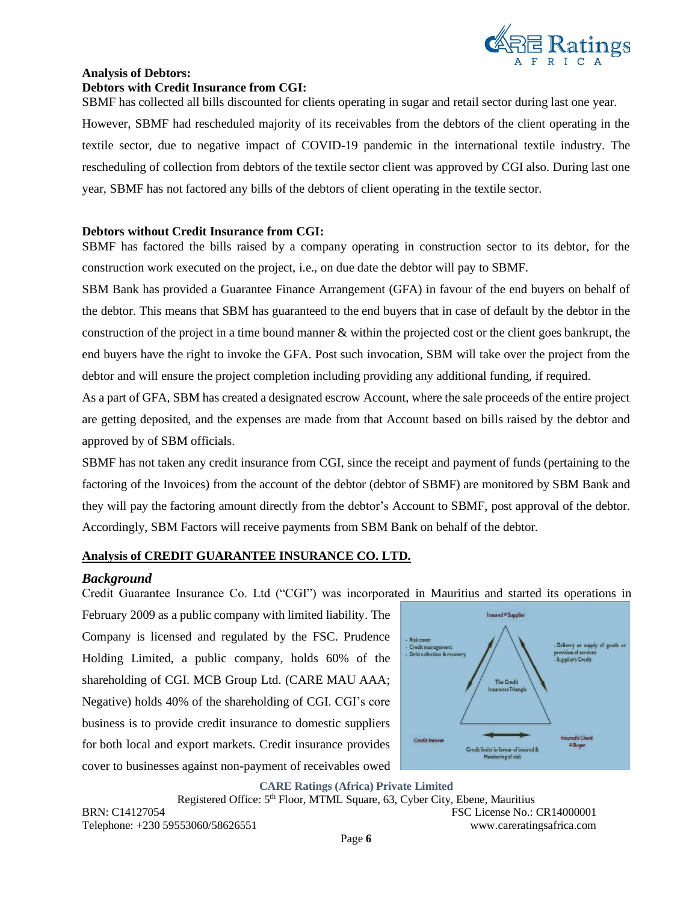

# **Analysis of Debtors: Debtors with Credit Insurance from CGI:**

SBMF has collected all bills discounted for clients operating in sugar and retail sector during last one year. However, SBMF had rescheduled majority of its receivables from the debtors of the client operating in the textile sector, due to negative impact of COVID-19 pandemic in the international textile industry. The rescheduling of collection from debtors of the textile sector client was approved by CGI also. During last one year, SBMF has not factored any bills of the debtors of client operating in the textile sector.

## **Debtors without Credit Insurance from CGI:**

SBMF has factored the bills raised by a company operating in construction sector to its debtor, for the construction work executed on the project, i.e., on due date the debtor will pay to SBMF.

SBM Bank has provided a Guarantee Finance Arrangement (GFA) in favour of the end buyers on behalf of the debtor. This means that SBM has guaranteed to the end buyers that in case of default by the debtor in the construction of the project in a time bound manner & within the projected cost or the client goes bankrupt, the end buyers have the right to invoke the GFA. Post such invocation, SBM will take over the project from the debtor and will ensure the project completion including providing any additional funding, if required.

As a part of GFA, SBM has created a designated escrow Account, where the sale proceeds of the entire project are getting deposited, and the expenses are made from that Account based on bills raised by the debtor and approved by of SBM officials.

SBMF has not taken any credit insurance from CGI, since the receipt and payment of funds (pertaining to the factoring of the Invoices) from the account of the debtor (debtor of SBMF) are monitored by SBM Bank and they will pay the factoring amount directly from the debtor's Account to SBMF, post approval of the debtor. Accordingly, SBM Factors will receive payments from SBM Bank on behalf of the debtor.

### **Analysis of CREDIT GUARANTEE INSURANCE CO. LTD.**

## *Background*

Credit Guarantee Insurance Co. Ltd ("CGI") was incorporated in Mauritius and started its operations in

February 2009 as a public company with limited liability. The Company is licensed and regulated by the FSC. Prudence Holding Limited, a public company, holds 60% of the shareholding of CGI. MCB Group Ltd. (CARE MAU AAA; Negative) holds 40% of the shareholding of CGI. CGI's core business is to provide credit insurance to domestic suppliers for both local and export markets. Credit insurance provides cover to businesses against non-payment of receivables owed



**CARE Ratings (Africa) Private Limited**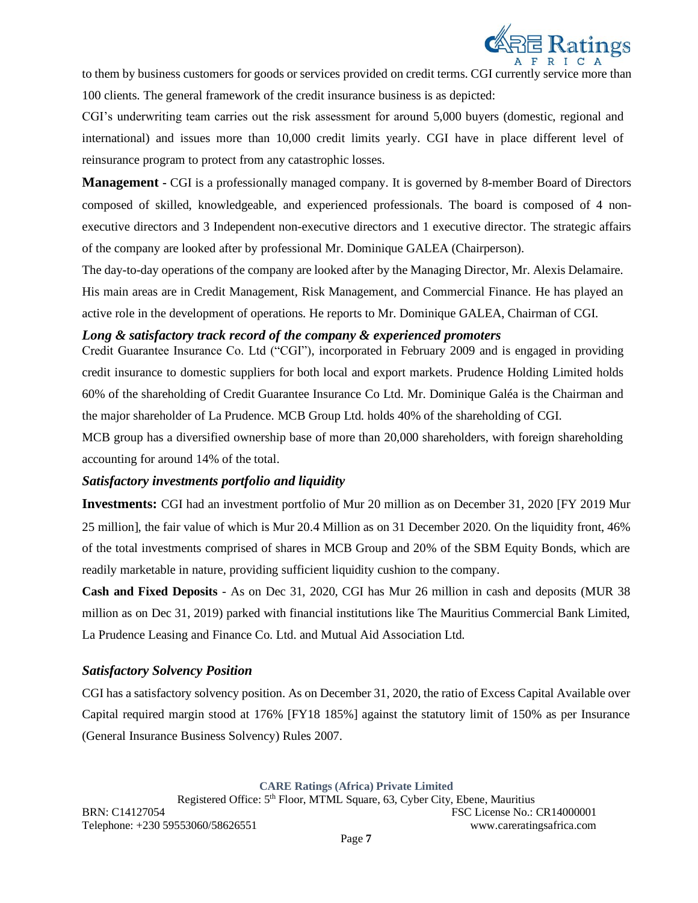

to them by business customers for goods or services provided on credit terms. CGI currently service more than 100 clients. The general framework of the credit insurance business is as depicted:

CGI's underwriting team carries out the risk assessment for around 5,000 buyers (domestic, regional and international) and issues more than 10,000 credit limits yearly. CGI have in place different level of reinsurance program to protect from any catastrophic losses.

**Management -** CGI is a professionally managed company. It is governed by 8-member Board of Directors composed of skilled, knowledgeable, and experienced professionals. The board is composed of 4 nonexecutive directors and 3 Independent non-executive directors and 1 executive director. The strategic affairs of the company are looked after by professional Mr. Dominique GALEA (Chairperson).

The day-to-day operations of the company are looked after by the Managing Director, Mr. Alexis Delamaire. His main areas are in Credit Management, Risk Management, and Commercial Finance. He has played an active role in the development of operations. He reports to Mr. Dominique GALEA, Chairman of CGI.

## *Long & satisfactory track record of the company & experienced promoters*

Credit Guarantee Insurance Co. Ltd ("CGI"), incorporated in February 2009 and is engaged in providing credit insurance to domestic suppliers for both local and export markets. Prudence Holding Limited holds 60% of the shareholding of Credit Guarantee Insurance Co Ltd. Mr. Dominique Galéa is the Chairman and the major shareholder of La Prudence. MCB Group Ltd. holds 40% of the shareholding of CGI.

MCB group has a diversified ownership base of more than 20,000 shareholders, with foreign shareholding accounting for around 14% of the total.

## *Satisfactory investments portfolio and liquidity*

**Investments:** CGI had an investment portfolio of Mur 20 million as on December 31, 2020 [FY 2019 Mur 25 million], the fair value of which is Mur 20.4 Million as on 31 December 2020. On the liquidity front, 46% of the total investments comprised of shares in MCB Group and 20% of the SBM Equity Bonds, which are readily marketable in nature, providing sufficient liquidity cushion to the company.

**Cash and Fixed Deposits** - As on Dec 31, 2020, CGI has Mur 26 million in cash and deposits (MUR 38 million as on Dec 31, 2019) parked with financial institutions like The Mauritius Commercial Bank Limited, La Prudence Leasing and Finance Co. Ltd. and Mutual Aid Association Ltd.

## *Satisfactory Solvency Position*

CGI has a satisfactory solvency position. As on December 31, 2020, the ratio of Excess Capital Available over Capital required margin stood at 176% [FY18 185%] against the statutory limit of 150% as per Insurance (General Insurance Business Solvency) Rules 2007.

**CARE Ratings (Africa) Private Limited**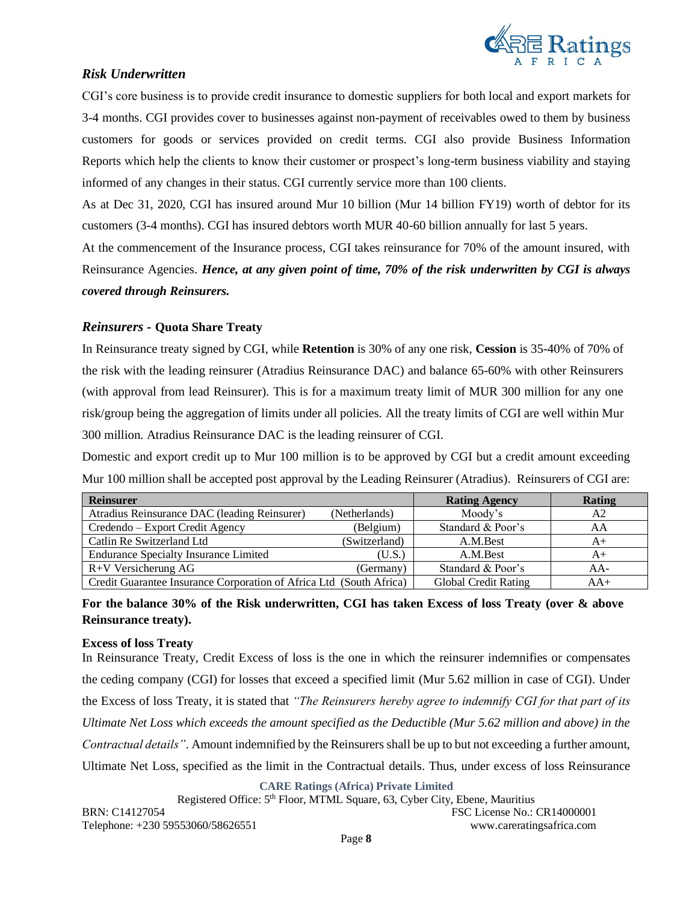

## *Risk Underwritten*

CGI's core business is to provide credit insurance to domestic suppliers for both local and export markets for 3-4 months. CGI provides cover to businesses against non-payment of receivables owed to them by business customers for goods or services provided on credit terms. CGI also provide Business Information Reports which help the clients to know their customer or prospect's long-term business viability and staying informed of any changes in their status. CGI currently service more than 100 clients.

As at Dec 31, 2020, CGI has insured around Mur 10 billion (Mur 14 billion FY19) worth of debtor for its customers (3-4 months). CGI has insured debtors worth MUR 40-60 billion annually for last 5 years.

At the commencement of the Insurance process, CGI takes reinsurance for 70% of the amount insured, with Reinsurance Agencies. *Hence, at any given point of time, 70% of the risk underwritten by CGI is always covered through Reinsurers.*

### *Reinsurers -* **Quota Share Treaty**

In Reinsurance treaty signed by CGI, while **Retention** is 30% of any one risk, **Cession** is 35-40% of 70% of the risk with the leading reinsurer (Atradius Reinsurance DAC) and balance 65-60% with other Reinsurers (with approval from lead Reinsurer). This is for a maximum treaty limit of MUR 300 million for any one risk/group being the aggregation of limits under all policies. All the treaty limits of CGI are well within Mur 300 million. Atradius Reinsurance DAC is the leading reinsurer of CGI.

Domestic and export credit up to Mur 100 million is to be approved by CGI but a credit amount exceeding Mur 100 million shall be accepted post approval by the Leading Reinsurer (Atradius). Reinsurers of CGI are:

| <b>Reinsurer</b>                                                    |               | <b>Rating Agency</b>        | <b>Rating</b> |
|---------------------------------------------------------------------|---------------|-----------------------------|---------------|
| Atradius Reinsurance DAC (leading Reinsurer)                        | (Netherlands) | Moody's                     | A2            |
| Credendo – Export Credit Agency                                     | (Belgium)     | Standard & Poor's           | AA            |
| Catlin Re Switzerland Ltd                                           | (Switzerland) | A.M.Best                    | $A+$          |
| <b>Endurance Specialty Insurance Limited</b>                        | (U.S.)        | A.M.Best                    | A+            |
| $R+V$ Versicherung AG                                               | (Germany)     | Standard & Poor's           | AA-           |
| Credit Guarantee Insurance Corporation of Africa Ltd (South Africa) |               | <b>Global Credit Rating</b> | $AA+$         |

## **For the balance 30% of the Risk underwritten, CGI has taken Excess of loss Treaty (over & above Reinsurance treaty).**

### **Excess of loss Treaty**

In Reinsurance Treaty, Credit Excess of loss is the one in which the reinsurer indemnifies or compensates the [ceding company](https://www.investopedia.com/terms/c/ceding-company.asp) (CGI) for losses that exceed a specified limit (Mur 5.62 million in case of CGI). Under the Excess of loss Treaty, it is stated that *"The Reinsurers hereby agree to indemnify CGI for that part of its Ultimate Net Loss which exceeds the amount specified as the Deductible (Mur 5.62 million and above) in the Contractual details"*. Amount indemnified by the Reinsurers shall be up to but not exceeding a further amount, Ultimate Net Loss, specified as the limit in the Contractual details. Thus, under excess of loss Reinsurance

**CARE Ratings (Africa) Private Limited**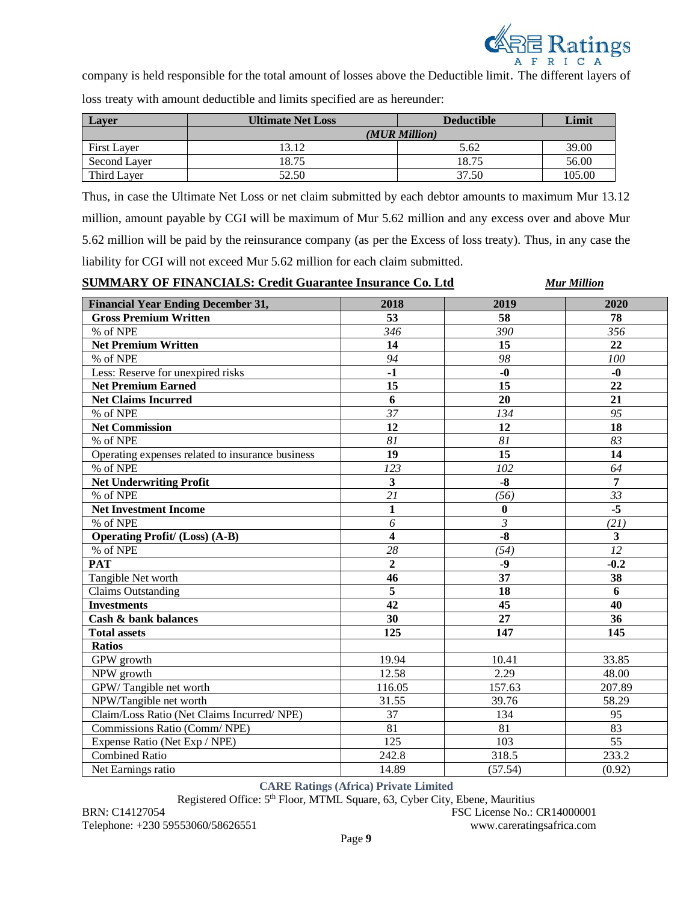

company is held responsible for the total amount of losses above the Deductible limit. The different layers of

loss treaty with amount deductible and limits specified are as hereunder:

| <b>Laver</b>       | <b>Ultimate Net Loss</b> | <b>Deductible</b> | Limit  |
|--------------------|--------------------------|-------------------|--------|
|                    |                          | (MUR Million)     |        |
| <b>First Layer</b> | 13.12                    | 5.62              | 39.00  |
| Second Layer       | 18.75                    | 18.75             | 56.00  |
| Third Layer        | 52.50                    | 37.50             | 105.00 |

Thus, in case the Ultimate Net Loss or net claim submitted by each debtor amounts to maximum Mur 13.12 million, amount payable by CGI will be maximum of Mur 5.62 million and any excess over and above Mur 5.62 million will be paid by the reinsurance company (as per the Excess of loss treaty). Thus, in any case the liability for CGI will not exceed Mur 5.62 million for each claim submitted.

**SUMMARY OF FINANCIALS: Credit Guarantee Insurance Co. Ltd** *Mur Million*

| <b>Financial Year Ending December 31,</b>        | 2018                    | 2019                      | 2020                    |
|--------------------------------------------------|-------------------------|---------------------------|-------------------------|
| <b>Gross Premium Written</b>                     | 53                      | 58                        | 78                      |
| % of NPE                                         | 346                     | 390                       | 356                     |
| <b>Net Premium Written</b>                       | 14                      | 15                        | 22                      |
| % of NPE                                         | 94                      | 98                        | 100                     |
| Less: Reserve for unexpired risks                | $-1$                    | $-0$                      | $-0$                    |
| <b>Net Premium Earned</b>                        | $\overline{15}$         | $\overline{15}$           | 22                      |
| <b>Net Claims Incurred</b>                       | 6                       | 20                        | 21                      |
| % of NPE                                         | 37                      | 134                       | 95                      |
| <b>Net Commission</b>                            | 12                      | 12                        | 18                      |
| % of NPE                                         | 81                      | 81                        | 83                      |
| Operating expenses related to insurance business | 19                      | 15                        | 14                      |
| % of NPE                                         | 123                     | 102                       | 64                      |
| <b>Net Underwriting Profit</b>                   | $\overline{\mathbf{3}}$ | $-8$                      | $\overline{7}$          |
| % of NPE                                         | $\overline{21}$         | (56)                      | 33                      |
| <b>Net Investment Income</b>                     | $\mathbf{1}$            | $\bf{0}$                  | $-5$                    |
| % of NPE                                         | 6                       | $\overline{\mathfrak{z}}$ | (21)                    |
| <b>Operating Profit/ (Loss) (A-B)</b>            | $\overline{\mathbf{4}}$ | $-8$                      | $\overline{\mathbf{3}}$ |
| % of NPE                                         | 28                      | (54)                      | $\overline{12}$         |
| <b>PAT</b>                                       | $\overline{2}$          | $-9$                      | $-0.2$                  |
| Tangible Net worth                               | 46                      | $\overline{37}$           | $\overline{38}$         |
| <b>Claims Outstanding</b>                        | 5                       | 18                        | 6                       |
| <b>Investments</b>                               | 42                      | 45                        | 40                      |
| Cash & bank balances                             | 30                      | 27                        | 36                      |
| <b>Total assets</b>                              | 125                     | 147                       | 145                     |
| <b>Ratios</b>                                    |                         |                           |                         |
| GPW growth                                       | 19.94                   | 10.41                     | 33.85                   |
| NPW growth                                       | 12.58                   | 2.29                      | 48.00                   |
| GPW/Tangible net worth                           | 116.05                  | 157.63                    | 207.89                  |
| NPW/Tangible net worth                           | 31.55                   | 39.76                     | 58.29                   |
| Claim/Loss Ratio (Net Claims Incurred/ NPE)      | 37                      | 134                       | 95                      |
| Commissions Ratio (Comm/NPE)                     | 81                      | 81                        | 83                      |
| Expense Ratio (Net Exp / NPE)                    | 125                     | 103                       | 55                      |
| <b>Combined Ratio</b>                            | 242.8                   | 318.5                     | 233.2                   |
| Net Earnings ratio                               | 14.89                   | (57.54)                   | (0.92)                  |

**CARE Ratings (Africa) Private Limited**

Registered Office: 5th Floor, MTML Square, 63, Cyber City, Ebene, Mauritius

BRN: C14127054 FSC License No.: CR14000001 Telephone: +230 59553060/58626551 www.careratingsafrica.com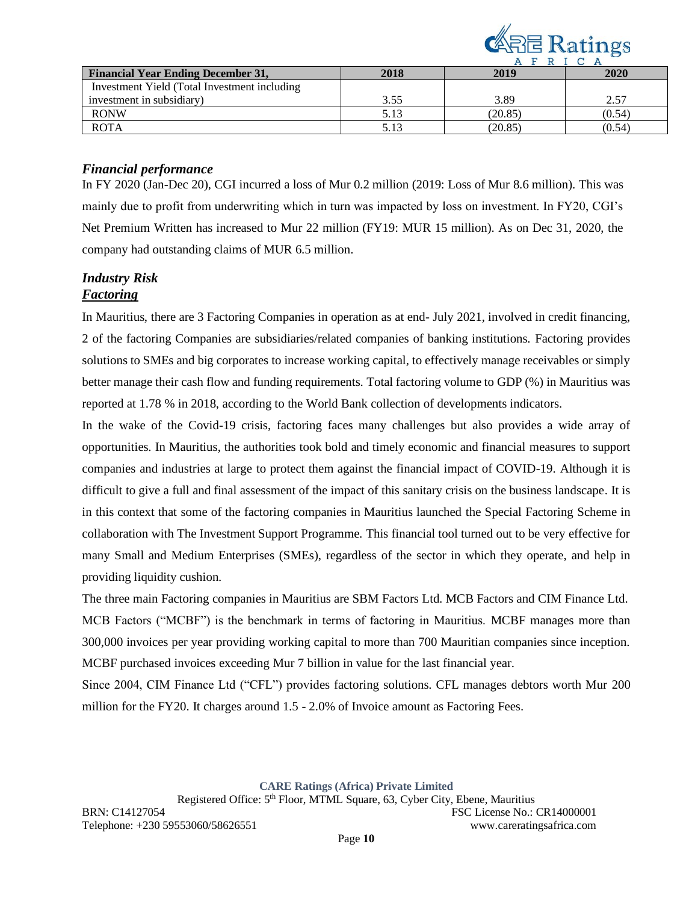

|                                               |      |         | $\sim$ |
|-----------------------------------------------|------|---------|--------|
| <b>Financial Year Ending December 31,</b>     | 2018 | 2019    | 2020   |
| Investment Yield (Total Investment including) |      |         |        |
| investment in subsidiary)                     | 3.55 | 3.89    | 2.57   |
| <b>RONW</b>                                   | 5.13 | (20.85) | (0.54) |
| <b>ROTA</b>                                   |      | (20.85) | (0.54) |

## *Financial performance*

In FY 2020 (Jan-Dec 20), CGI incurred a loss of Mur 0.2 million (2019: Loss of Mur 8.6 million). This was mainly due to profit from underwriting which in turn was impacted by loss on investment. In FY20, CGI's Net Premium Written has increased to Mur 22 million (FY19: MUR 15 million). As on Dec 31, 2020, the company had outstanding claims of MUR 6.5 million.

## *Industry Risk Factoring*

In Mauritius, there are 3 Factoring Companies in operation as at end- July 2021, involved in credit financing, 2 of the factoring Companies are subsidiaries/related companies of banking institutions. Factoring provides solutions to SMEs and big corporates to increase working capital, to effectively manage receivables or simply better manage their cash flow and funding requirements. Total factoring volume to GDP (%) in Mauritius was reported at 1.78 % in 2018, according to the World Bank collection of developments indicators.

In the wake of the Covid-19 crisis, factoring faces many challenges but also provides a wide array of opportunities. In Mauritius, the authorities took bold and timely economic and financial measures to support companies and industries at large to protect them against the financial impact of COVID-19. Although it is difficult to give a full and final assessment of the impact of this sanitary crisis on the business landscape. It is in this context that some of the factoring companies in Mauritius launched the Special Factoring Scheme in collaboration with The Investment Support Programme. This financial tool turned out to be very effective for many Small and Medium Enterprises (SMEs), regardless of the sector in which they operate, and help in providing liquidity cushion.

The three main Factoring companies in Mauritius are SBM Factors Ltd. MCB Factors and CIM Finance Ltd. MCB Factors ("MCBF") is the benchmark in terms of factoring in Mauritius. MCBF manages more than 300,000 invoices per year providing working capital to more than 700 Mauritian companies since inception. MCBF purchased invoices exceeding Mur 7 billion in value for the last financial year.

Since 2004, CIM Finance Ltd ("CFL") provides factoring solutions. CFL manages debtors worth Mur 200 million for the FY20. It charges around 1.5 - 2.0% of Invoice amount as Factoring Fees.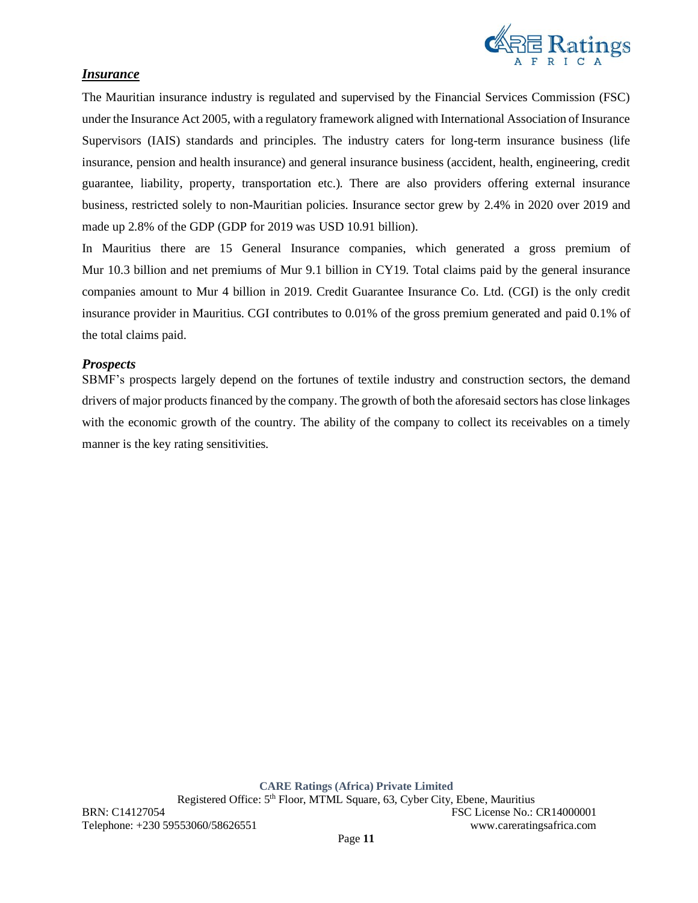

### *Insurance*

The Mauritian insurance industry is regulated and supervised by the Financial Services Commission (FSC) under the Insurance Act 2005, with a regulatory framework aligned with International Association of Insurance Supervisors (IAIS) standards and principles. The industry caters for long-term insurance business (life insurance, pension and health insurance) and general insurance business (accident, health, engineering, credit guarantee, liability, property, transportation etc.). There are also providers offering external insurance business, restricted solely to non-Mauritian policies. Insurance sector grew by 2.4% in 2020 over 2019 and made up 2.8% of the GDP (GDP for 2019 was USD 10.91 billion).

In Mauritius there are 15 General Insurance companies, which generated a gross premium of Mur 10.3 billion and net premiums of Mur 9.1 billion in CY19. Total claims paid by the general insurance companies amount to Mur 4 billion in 2019. Credit Guarantee Insurance Co. Ltd. (CGI) is the only credit insurance provider in Mauritius. CGI contributes to 0.01% of the gross premium generated and paid 0.1% of the total claims paid.

### *Prospects*

SBMF's prospects largely depend on the fortunes of textile industry and construction sectors, the demand drivers of major products financed by the company. The growth of both the aforesaid sectors has close linkages with the economic growth of the country. The ability of the company to collect its receivables on a timely manner is the key rating sensitivities.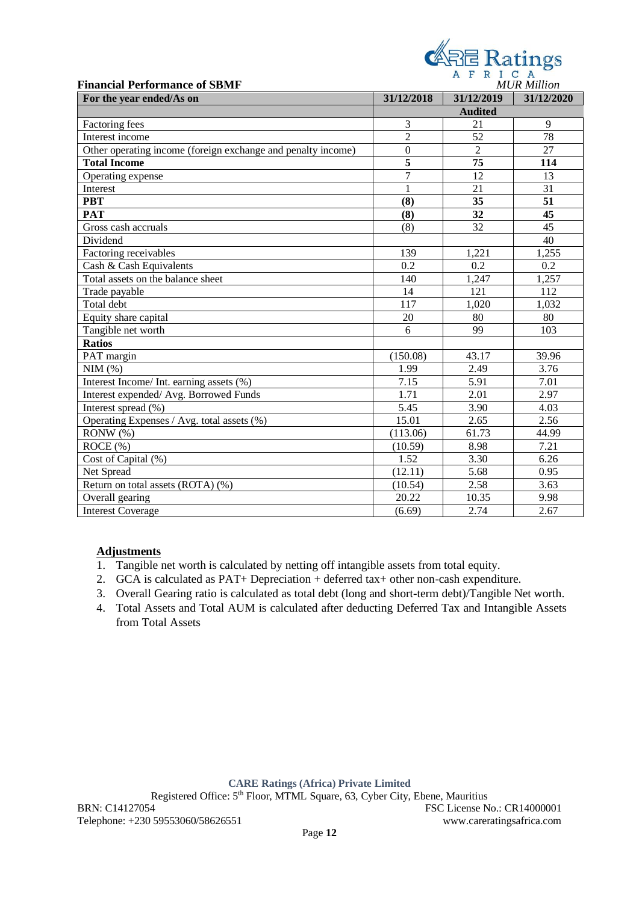|                                                              |                  | <b>《吊邑 Ratings</b> |                    |  |
|--------------------------------------------------------------|------------------|--------------------|--------------------|--|
|                                                              |                  | AFRICA             |                    |  |
| <b>Financial Performance of SBMF</b>                         |                  |                    | <b>MUR Million</b> |  |
| For the year ended/As on                                     | 31/12/2018       | 31/12/2019         | 31/12/2020         |  |
|                                                              |                  | <b>Audited</b>     |                    |  |
| Factoring fees                                               | 3                | 21                 | 9                  |  |
| Interest income                                              | $\overline{2}$   | 52                 | 78                 |  |
| Other operating income (foreign exchange and penalty income) | $\boldsymbol{0}$ | $\overline{2}$     | 27                 |  |
| <b>Total Income</b>                                          | 5                | 75                 | 114                |  |
| Operating expense                                            | $\tau$           | 12                 | 13                 |  |
| Interest                                                     | 1                | 21                 | 31                 |  |
| <b>PBT</b>                                                   | (8)              | 35                 | 51                 |  |
| <b>PAT</b>                                                   | (8)              | 32                 | 45                 |  |
| Gross cash accruals                                          | (8)              | 32                 | 45                 |  |
| Dividend                                                     |                  |                    | 40                 |  |
| Factoring receivables                                        | 139              | 1,221              | 1,255              |  |
| Cash & Cash Equivalents                                      | 0.2              | 0.2                | 0.2                |  |
| Total assets on the balance sheet                            | 140              | 1,247              | 1,257              |  |
| Trade payable                                                | 14               | 121                | 112                |  |
| Total debt                                                   | 117              | 1,020              | 1,032              |  |
| Equity share capital                                         | 20               | 80                 | 80                 |  |
| Tangible net worth                                           | 6                | 99                 | 103                |  |
| <b>Ratios</b>                                                |                  |                    |                    |  |
| PAT margin                                                   | (150.08)         | 43.17              | 39.96              |  |
| NIM(%)                                                       | 1.99             | 2.49               | 3.76               |  |
| Interest Income/ Int. earning assets (%)                     | 7.15             | 5.91               | 7.01               |  |
| Interest expended/ Avg. Borrowed Funds                       | 1.71             | 2.01               | 2.97               |  |
| Interest spread (%)                                          | 5.45             | 3.90               | 4.03               |  |
| Operating Expenses / Avg. total assets (%)                   | 15.01            | 2.65               | 2.56               |  |
| RONW(%)                                                      | (113.06)         | 61.73              | 44.99              |  |
| ROCE (%)                                                     | (10.59)          | 8.98               | 7.21               |  |
| Cost of Capital (%)                                          | 1.52             | 3.30               | 6.26               |  |
| Net Spread                                                   | (12.11)          | 5.68               | 0.95               |  |
| Return on total assets (ROTA) (%)                            | (10.54)          | 2.58               | 3.63               |  |
| Overall gearing                                              | 20.22            | 10.35              | 9.98               |  |
| <b>Interest Coverage</b>                                     | (6.69)           | 2.74               | 2.67               |  |

# **Adjustments**

- 1. Tangible net worth is calculated by netting off intangible assets from total equity.
- 2. GCA is calculated as PAT+ Depreciation + deferred tax+ other non-cash expenditure.
- 3. Overall Gearing ratio is calculated as total debt (long and short-term debt)/Tangible Net worth.
- 4. Total Assets and Total AUM is calculated after deducting Deferred Tax and Intangible Assets from Total Assets

**CARE Ratings (Africa) Private Limited**

Registered Office: 5th Floor, MTML Square, 63, Cyber City, Ebene, Mauritius

BRN: C14127054 FSC License No.: CR14000001 Telephone: +230 59553060/58626551 www.careratingsafrica.com